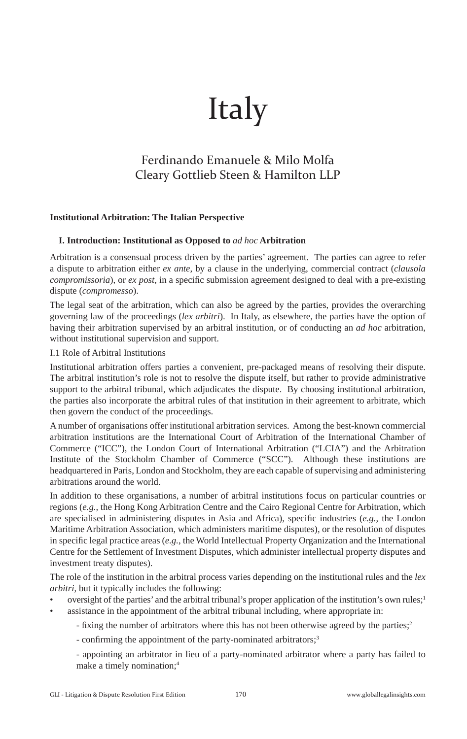# Italy

# Ferdinando Emanuele & Milo Molfa Cleary Gottlieb Steen & Hamilton LLP

# **Institutional Arbitration: The Italian Perspective**

# **I. Introduction: Institutional as Opposed to** *ad hoc* **Arbitration**

Arbitration is a consensual process driven by the parties' agreement. The parties can agree to refer a dispute to arbitration either *ex ante*, by a clause in the underlying, commercial contract (*clausola compromissoria*), or *ex post*, in a specific submission agreement designed to deal with a pre-existing dispute (*compromesso*).

The legal seat of the arbitration, which can also be agreed by the parties, provides the overarching governing law of the proceedings (*lex arbitri*). In Italy, as elsewhere, the parties have the option of having their arbitration supervised by an arbitral institution, or of conducting an *ad hoc* arbitration, without institutional supervision and support.

I.1 Role of Arbitral Institutions

Institutional arbitration offers parties a convenient, pre-packaged means of resolving their dispute. The arbitral institution's role is not to resolve the dispute itself, but rather to provide administrative support to the arbitral tribunal, which adjudicates the dispute. By choosing institutional arbitration, the parties also incorporate the arbitral rules of that institution in their agreement to arbitrate, which then govern the conduct of the proceedings.

A number of organisations offer institutional arbitration services. Among the best-known commercial arbitration institutions are the International Court of Arbitration of the International Chamber of Commerce ("ICC"), the London Court of International Arbitration ("LCIA") and the Arbitration Institute of the Stockholm Chamber of Commerce ("SCC"). Although these institutions are headquartered in Paris, London and Stockholm, they are each capable of supervising and administering arbitrations around the world.

In addition to these organisations, a number of arbitral institutions focus on particular countries or regions (*e.g.*, the Hong Kong Arbitration Centre and the Cairo Regional Centre for Arbitration, which are specialised in administering disputes in Asia and Africa), specific industries (e.g., the London Maritime Arbitration Association, which administers maritime disputes), or the resolution of disputes in specific legal practice areas (e.g., the World Intellectual Property Organization and the International Centre for the Settlement of Investment Disputes, which administer intellectual property disputes and investment treaty disputes).

The role of the institution in the arbitral process varies depending on the institutional rules and the *lex arbitri*, but it typically includes the following:

- oversight of the parties' and the arbitral tribunal's proper application of the institution's own rules;<sup>1</sup>
	- assistance in the appointment of the arbitral tribunal including, where appropriate in:
		- fixing the number of arbitrators where this has not been otherwise agreed by the parties;<sup>2</sup>

- confirming the appointment of the party-nominated arbitrators;<sup>3</sup>

 - appointing an arbitrator in lieu of a party-nominated arbitrator where a party has failed to make a timely nomination;4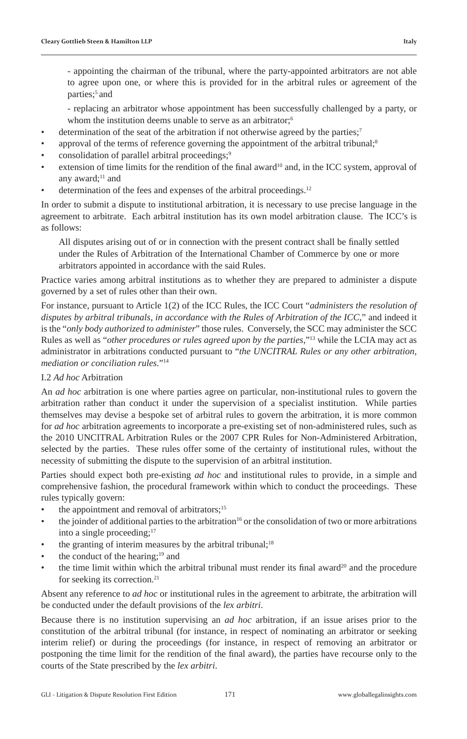- appointing the chairman of the tribunal, where the party-appointed arbitrators are not able to agree upon one, or where this is provided for in the arbitral rules or agreement of the parties:<sup>5</sup> and

 - replacing an arbitrator whose appointment has been successfully challenged by a party, or whom the institution deems unable to serve as an arbitrator;<sup>6</sup>

- determination of the seat of the arbitration if not otherwise agreed by the parties;<sup>7</sup>
- approval of the terms of reference governing the appointment of the arbitral tribunal;<sup>8</sup>
- consolidation of parallel arbitral proceedings;<sup>9</sup>
- extension of time limits for the rendition of the final award<sup>10</sup> and, in the ICC system, approval of any award;<sup>11</sup> and
- determination of the fees and expenses of the arbitral proceedings.<sup>12</sup>

In order to submit a dispute to institutional arbitration, it is necessary to use precise language in the agreement to arbitrate. Each arbitral institution has its own model arbitration clause. The ICC's is as follows:

All disputes arising out of or in connection with the present contract shall be finally settled under the Rules of Arbitration of the International Chamber of Commerce by one or more arbitrators appointed in accordance with the said Rules.

Practice varies among arbitral institutions as to whether they are prepared to administer a dispute governed by a set of rules other than their own.

For instance, pursuant to Article 1(2) of the ICC Rules, the ICC Court "*administers the resolution of disputes by arbitral tribunals, in accordance with the Rules of Arbitration of the ICC*," and indeed it is the "*only body authorized to administer*" those rules. Conversely, the SCC may administer the SCC Rules as well as "*other procedures or rules agreed upon by the parties*,"13 while the LCIA may act as administrator in arbitrations conducted pursuant to "*the UNCITRAL Rules or any other arbitration, mediation or conciliation rules*."14

# I.2 *Ad hoc* Arbitration

An *ad hoc* arbitration is one where parties agree on particular, non-institutional rules to govern the arbitration rather than conduct it under the supervision of a specialist institution. While parties themselves may devise a bespoke set of arbitral rules to govern the arbitration, it is more common for *ad hoc* arbitration agreements to incorporate a pre-existing set of non-administered rules, such as the 2010 UNCITRAL Arbitration Rules or the 2007 CPR Rules for Non-Administered Arbitration, selected by the parties. These rules offer some of the certainty of institutional rules, without the necessity of submitting the dispute to the supervision of an arbitral institution.

Parties should expect both pre-existing *ad hoc* and institutional rules to provide, in a simple and comprehensive fashion, the procedural framework within which to conduct the proceedings. These rules typically govern:

- the appointment and removal of arbitrators;<sup>15</sup>
- the joinder of additional parties to the arbitration<sup>16</sup> or the consolidation of two or more arbitrations into a single proceeding;<sup>17</sup>
- the granting of interim measures by the arbitral tribunal; $18$
- the conduct of the hearing; $19$  and
- the time limit within which the arbitral tribunal must render its final award<sup>20</sup> and the procedure for seeking its correction.<sup>21</sup>

Absent any reference to *ad hoc* or institutional rules in the agreement to arbitrate, the arbitration will be conducted under the default provisions of the *lex arbitri*.

Because there is no institution supervising an *ad hoc* arbitration, if an issue arises prior to the constitution of the arbitral tribunal (for instance, in respect of nominating an arbitrator or seeking interim relief) or during the proceedings (for instance, in respect of removing an arbitrator or postponing the time limit for the rendition of the final award), the parties have recourse only to the courts of the State prescribed by the *lex arbitri*.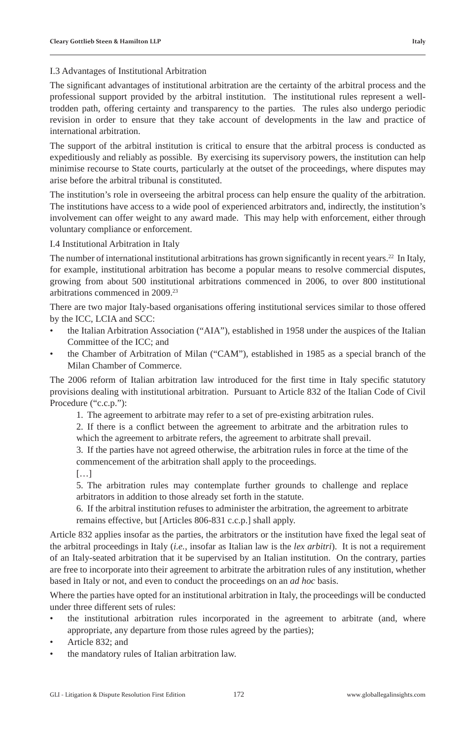#### I.3 Advantages of Institutional Arbitration

The significant advantages of institutional arbitration are the certainty of the arbitral process and the professional support provided by the arbitral institution. The institutional rules represent a welltrodden path, offering certainty and transparency to the parties. The rules also undergo periodic revision in order to ensure that they take account of developments in the law and practice of international arbitration.

The support of the arbitral institution is critical to ensure that the arbitral process is conducted as expeditiously and reliably as possible. By exercising its supervisory powers, the institution can help minimise recourse to State courts, particularly at the outset of the proceedings, where disputes may arise before the arbitral tribunal is constituted.

The institution's role in overseeing the arbitral process can help ensure the quality of the arbitration. The institutions have access to a wide pool of experienced arbitrators and, indirectly, the institution's involvement can offer weight to any award made. This may help with enforcement, either through voluntary compliance or enforcement.

I.4 Institutional Arbitration in Italy

The number of international institutional arbitrations has grown significantly in recent years.<sup>22</sup> In Italy, for example, institutional arbitration has become a popular means to resolve commercial disputes, growing from about 500 institutional arbitrations commenced in 2006, to over 800 institutional arbitrations commenced in 2009.23

There are two major Italy-based organisations offering institutional services similar to those offered by the ICC, LCIA and SCC:

- the Italian Arbitration Association ("AIA"), established in 1958 under the auspices of the Italian Committee of the ICC; and
- the Chamber of Arbitration of Milan ("CAM"), established in 1985 as a special branch of the Milan Chamber of Commerce.

The 2006 reform of Italian arbitration law introduced for the first time in Italy specific statutory provisions dealing with institutional arbitration. Pursuant to Article 832 of the Italian Code of Civil Procedure ("c.c.p."):

1. The agreement to arbitrate may refer to a set of pre-existing arbitration rules.

2. If there is a conflict between the agreement to arbitrate and the arbitration rules to which the agreement to arbitrate refers, the agreement to arbitrate shall prevail.

 3. If the parties have not agreed otherwise, the arbitration rules in force at the time of the commencement of the arbitration shall apply to the proceedings.

[…]

 5. The arbitration rules may contemplate further grounds to challenge and replace arbitrators in addition to those already set forth in the statute.

 6. If the arbitral institution refuses to administer the arbitration, the agreement to arbitrate remains effective, but [Articles 806-831 c.c.p.] shall apply.

Article 832 applies insofar as the parties, the arbitrators or the institution have fixed the legal seat of the arbitral proceedings in Italy (*i.e.*, insofar as Italian law is the *lex arbitri*). It is not a requirement of an Italy-seated arbitration that it be supervised by an Italian institution. On the contrary, parties are free to incorporate into their agreement to arbitrate the arbitration rules of any institution, whether based in Italy or not, and even to conduct the proceedings on an *ad hoc* basis.

Where the parties have opted for an institutional arbitration in Italy, the proceedings will be conducted under three different sets of rules:

- the institutional arbitration rules incorporated in the agreement to arbitrate (and, where appropriate, any departure from those rules agreed by the parties);
- Article 832; and
- the mandatory rules of Italian arbitration law.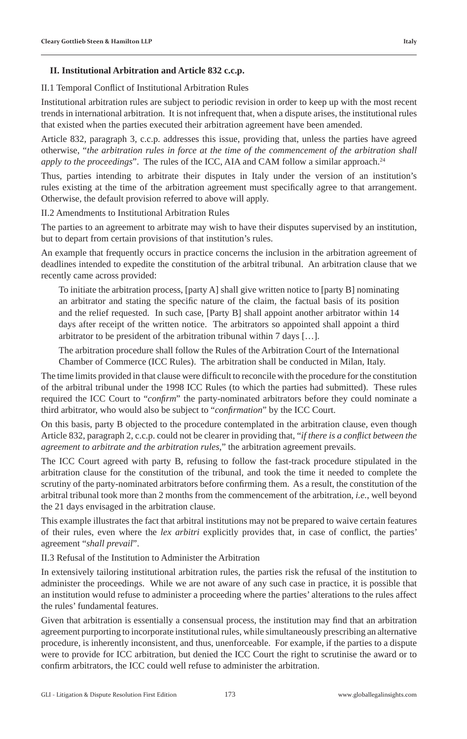#### II.1 Temporal Conflict of Institutional Arbitration Rules

Institutional arbitration rules are subject to periodic revision in order to keep up with the most recent trends in international arbitration. It is not infrequent that, when a dispute arises, the institutional rules that existed when the parties executed their arbitration agreement have been amended.

Article 832, paragraph 3, c.c.p. addresses this issue, providing that, unless the parties have agreed otherwise, "*the arbitration rules in force at the time of the commencement of the arbitration shall apply to the proceedings*". The rules of the ICC, AIA and CAM follow a similar approach.<sup>24</sup>

Thus, parties intending to arbitrate their disputes in Italy under the version of an institution's rules existing at the time of the arbitration agreement must specifically agree to that arrangement. Otherwise, the default provision referred to above will apply.

II.2 Amendments to Institutional Arbitration Rules

The parties to an agreement to arbitrate may wish to have their disputes supervised by an institution, but to depart from certain provisions of that institution's rules.

An example that frequently occurs in practice concerns the inclusion in the arbitration agreement of deadlines intended to expedite the constitution of the arbitral tribunal. An arbitration clause that we recently came across provided:

 To initiate the arbitration process, [party A] shall give written notice to [party B] nominating an arbitrator and stating the specific nature of the claim, the factual basis of its position and the relief requested. In such case, [Party B] shall appoint another arbitrator within 14 days after receipt of the written notice. The arbitrators so appointed shall appoint a third arbitrator to be president of the arbitration tribunal within 7 days […].

 The arbitration procedure shall follow the Rules of the Arbitration Court of the International Chamber of Commerce (ICC Rules). The arbitration shall be conducted in Milan, Italy.

The time limits provided in that clause were difficult to reconcile with the procedure for the constitution of the arbitral tribunal under the 1998 ICC Rules (to which the parties had submitted). These rules required the ICC Court to "*confirm*" the party-nominated arbitrators before they could nominate a third arbitrator, who would also be subject to "*confirmation*" by the ICC Court.

On this basis, party B objected to the procedure contemplated in the arbitration clause, even though Article 832, paragraph 2, c.c.p. could not be clearer in providing that, "*if there is a conflict between the agreement to arbitrate and the arbitration rules*," the arbitration agreement prevails.

The ICC Court agreed with party B, refusing to follow the fast-track procedure stipulated in the arbitration clause for the constitution of the tribunal, and took the time it needed to complete the scrutiny of the party-nominated arbitrators before confirming them. As a result, the constitution of the arbitral tribunal took more than 2 months from the commencement of the arbitration, *i.e.*, well beyond the 21 days envisaged in the arbitration clause.

This example illustrates the fact that arbitral institutions may not be prepared to waive certain features of their rules, even where the *lex arbitri* explicitly provides that, in case of conflict, the parties' agreement "*shall prevail*".

II.3 Refusal of the Institution to Administer the Arbitration

In extensively tailoring institutional arbitration rules, the parties risk the refusal of the institution to administer the proceedings. While we are not aware of any such case in practice, it is possible that an institution would refuse to administer a proceeding where the parties' alterations to the rules affect the rules' fundamental features.

Given that arbitration is essentially a consensual process, the institution may find that an arbitration agreement purporting to incorporate institutional rules, while simultaneously prescribing an alternative procedure, is inherently inconsistent, and thus, unenforceable. For example, if the parties to a dispute were to provide for ICC arbitration, but denied the ICC Court the right to scrutinise the award or to confirm arbitrators, the ICC could well refuse to administer the arbitration.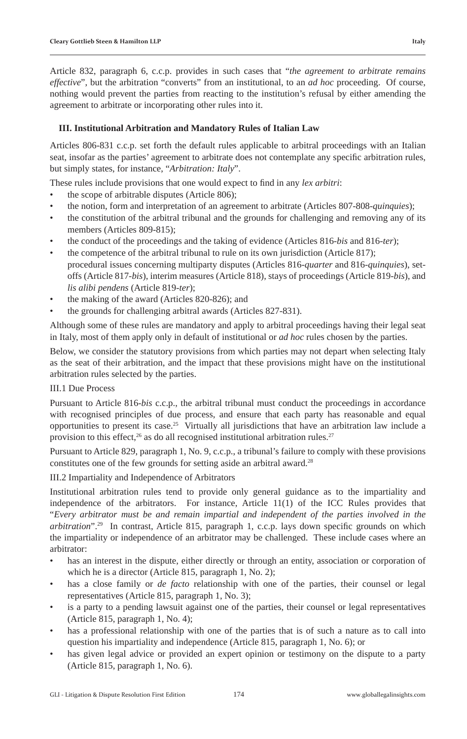Article 832, paragraph 6, c.c.p. provides in such cases that "*the agreement to arbitrate remains effective*", but the arbitration "converts" from an institutional, to an *ad hoc* proceeding. Of course, nothing would prevent the parties from reacting to the institution's refusal by either amending the agreement to arbitrate or incorporating other rules into it.

# **III. Institutional Arbitration and Mandatory Rules of Italian Law**

Articles 806-831 c.c.p. set forth the default rules applicable to arbitral proceedings with an Italian seat, insofar as the parties' agreement to arbitrate does not contemplate any specific arbitration rules, but simply states, for instance, "*Arbitration: Italy*".

These rules include provisions that one would expect to find in any *lex arbitri*:

- the scope of arbitrable disputes (Article 806);
- the notion, form and interpretation of an agreement to arbitrate (Articles 807-808-*quinquies*);
- the constitution of the arbitral tribunal and the grounds for challenging and removing any of its members (Articles 809-815);
- the conduct of the proceedings and the taking of evidence (Articles 816-*bis* and 816-*ter*);
- the competence of the arbitral tribunal to rule on its own jurisdiction (Article 817); procedural issues concerning multiparty disputes (Articles 816-*quarter* and 816-*quinquies*), setoffs (Article 817-*bis*), interim measures (Article 818), stays of proceedings (Article 819-*bis*), and *lis alibi pendens* (Article 819-*ter*);
- the making of the award (Articles 820-826); and
- the grounds for challenging arbitral awards (Articles 827-831).

Although some of these rules are mandatory and apply to arbitral proceedings having their legal seat in Italy, most of them apply only in default of institutional or *ad hoc* rules chosen by the parties.

Below, we consider the statutory provisions from which parties may not depart when selecting Italy as the seat of their arbitration, and the impact that these provisions might have on the institutional arbitration rules selected by the parties.

#### III.1 Due Process

Pursuant to Article 816-*bis* c.c.p., the arbitral tribunal must conduct the proceedings in accordance with recognised principles of due process, and ensure that each party has reasonable and equal opportunities to present its case.25 Virtually all jurisdictions that have an arbitration law include a provision to this effect, $26$  as do all recognised institutional arbitration rules. $27$ 

Pursuant to Article 829, paragraph 1, No. 9, c.c.p., a tribunal's failure to comply with these provisions constitutes one of the few grounds for setting aside an arbitral award.<sup>28</sup>

III.2 Impartiality and Independence of Arbitrators

Institutional arbitration rules tend to provide only general guidance as to the impartiality and independence of the arbitrators. For instance, Article 11(1) of the ICC Rules provides that "*Every arbitrator must be and remain impartial and independent of the parties involved in the arbitration*".<sup>29</sup> In contrast, Article 815, paragraph 1, c.c.p. lays down specific grounds on which the impartiality or independence of an arbitrator may be challenged. These include cases where an arbitrator:

- has an interest in the dispute, either directly or through an entity, association or corporation of which he is a director (Article 815, paragraph 1, No. 2);
- has a close family or *de facto* relationship with one of the parties, their counsel or legal representatives (Article 815, paragraph 1, No. 3);
- is a party to a pending lawsuit against one of the parties, their counsel or legal representatives (Article 815, paragraph 1, No. 4);
- has a professional relationship with one of the parties that is of such a nature as to call into question his impartiality and independence (Article 815, paragraph 1, No. 6); or
- has given legal advice or provided an expert opinion or testimony on the dispute to a party (Article 815, paragraph 1, No. 6).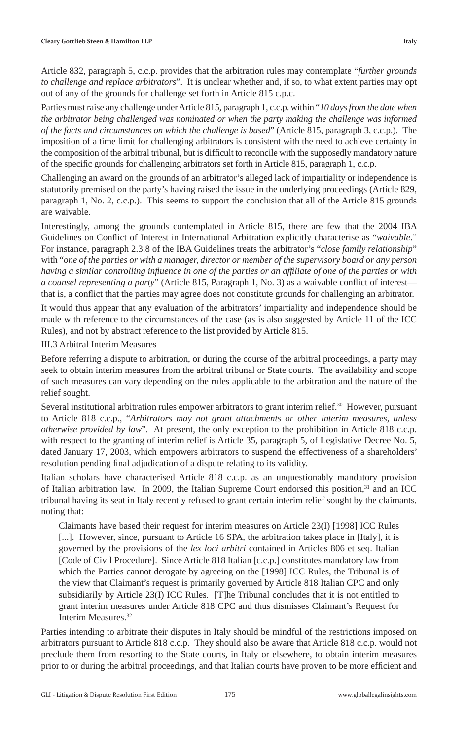Article 832, paragraph 5, c.c.p. provides that the arbitration rules may contemplate "*further grounds to challenge and replace arbitrators*". It is unclear whether and, if so, to what extent parties may opt out of any of the grounds for challenge set forth in Article 815 c.p.c.

Parties must raise any challenge under Article 815, paragraph 1, c.c.p. within "*10 days from the date when the arbitrator being challenged was nominated or when the party making the challenge was informed of the facts and circumstances on which the challenge is based*" (Article 815, paragraph 3, c.c.p.). The imposition of a time limit for challenging arbitrators is consistent with the need to achieve certainty in the composition of the arbitral tribunal, but is difficult to reconcile with the supposedly mandatory nature of the specific grounds for challenging arbitrators set forth in Article 815, paragraph 1, c.c.p.

Challenging an award on the grounds of an arbitrator's alleged lack of impartiality or independence is statutorily premised on the party's having raised the issue in the underlying proceedings (Article 829, paragraph 1, No. 2, c.c.p.). This seems to support the conclusion that all of the Article 815 grounds are waivable.

Interestingly, among the grounds contemplated in Article 815, there are few that the 2004 IBA Guidelines on Conflict of Interest in International Arbitration explicitly characterise as "*waivable*." For instance, paragraph 2.3.8 of the IBA Guidelines treats the arbitrator's "*close family relationship*" with "*one of the parties or with a manager, director or member of the supervisory board or any person having a similar controlling infl uence in one of the parties or an affi liate of one of the parties or with a counsel representing a party*" (Article 815, Paragraph 1, No. 3) as a waivable conflict of interest that is, a conflict that the parties may agree does not constitute grounds for challenging an arbitrator.

It would thus appear that any evaluation of the arbitrators' impartiality and independence should be made with reference to the circumstances of the case (as is also suggested by Article 11 of the ICC Rules), and not by abstract reference to the list provided by Article 815.

#### III.3 Arbitral Interim Measures

Before referring a dispute to arbitration, or during the course of the arbitral proceedings, a party may seek to obtain interim measures from the arbitral tribunal or State courts. The availability and scope of such measures can vary depending on the rules applicable to the arbitration and the nature of the relief sought.

Several institutional arbitration rules empower arbitrators to grant interim relief.<sup>30</sup> However, pursuant to Article 818 c.c.p., "*Arbitrators may not grant attachments or other interim measures, unless otherwise provided by law*". At present, the only exception to the prohibition in Article 818 c.c.p. with respect to the granting of interim relief is Article 35, paragraph 5, of Legislative Decree No. 5, dated January 17, 2003, which empowers arbitrators to suspend the effectiveness of a shareholders' resolution pending final adjudication of a dispute relating to its validity.

Italian scholars have characterised Article 818 c.c.p. as an unquestionably mandatory provision of Italian arbitration law. In 2009, the Italian Supreme Court endorsed this position,<sup>31</sup> and an ICC tribunal having its seat in Italy recently refused to grant certain interim relief sought by the claimants, noting that:

 Claimants have based their request for interim measures on Article 23(I) [1998] ICC Rules [...]. However, since, pursuant to Article 16 SPA, the arbitration takes place in [Italy], it is governed by the provisions of the *lex loci arbitri* contained in Articles 806 et seq. Italian [Code of Civil Procedure]. Since Article 818 Italian [c.c.p.] constitutes mandatory law from which the Parties cannot derogate by agreeing on the [1998] ICC Rules, the Tribunal is of the view that Claimant's request is primarily governed by Article 818 Italian CPC and only subsidiarily by Article 23(I) ICC Rules. [T]he Tribunal concludes that it is not entitled to grant interim measures under Article 818 CPC and thus dismisses Claimant's Request for Interim Measures.32

Parties intending to arbitrate their disputes in Italy should be mindful of the restrictions imposed on arbitrators pursuant to Article 818 c.c.p. They should also be aware that Article 818 c.c.p. would not preclude them from resorting to the State courts, in Italy or elsewhere, to obtain interim measures prior to or during the arbitral proceedings, and that Italian courts have proven to be more efficient and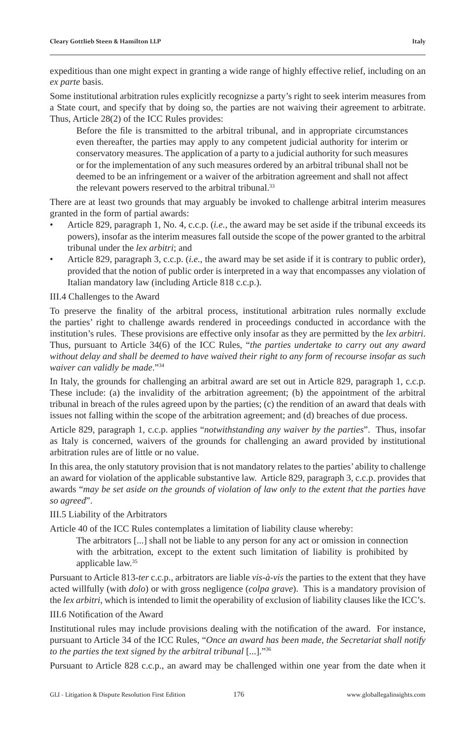expeditious than one might expect in granting a wide range of highly effective relief, including on an *ex parte* basis.

Some institutional arbitration rules explicitly recognizse a party's right to seek interim measures from a State court, and specify that by doing so, the parties are not waiving their agreement to arbitrate. Thus, Article 28(2) of the ICC Rules provides:

Before the file is transmitted to the arbitral tribunal, and in appropriate circumstances even thereafter, the parties may apply to any competent judicial authority for interim or conservatory measures. The application of a party to a judicial authority for such measures or for the implementation of any such measures ordered by an arbitral tribunal shall not be deemed to be an infringement or a waiver of the arbitration agreement and shall not affect the relevant powers reserved to the arbitral tribunal.<sup>33</sup>

There are at least two grounds that may arguably be invoked to challenge arbitral interim measures granted in the form of partial awards:

- Article 829, paragraph 1, No. 4, c.c.p. (*i.e.*, the award may be set aside if the tribunal exceeds its powers), insofar as the interim measures fall outside the scope of the power granted to the arbitral tribunal under the *lex arbitri*; and
- Article 829, paragraph 3, c.c.p. (*i.e.*, the award may be set aside if it is contrary to public order), provided that the notion of public order is interpreted in a way that encompasses any violation of Italian mandatory law (including Article 818 c.c.p.).

#### III.4 Challenges to the Award

To preserve the finality of the arbitral process, institutional arbitration rules normally exclude the parties' right to challenge awards rendered in proceedings conducted in accordance with the institution's rules. These provisions are effective only insofar as they are permitted by the *lex arbitri*. Thus, pursuant to Article 34(6) of the ICC Rules, "*the parties undertake to carry out any award without delay and shall be deemed to have waived their right to any form of recourse insofar as such waiver can validly be made*."34

In Italy, the grounds for challenging an arbitral award are set out in Article 829, paragraph 1, c.c.p. These include: (a) the invalidity of the arbitration agreement; (b) the appointment of the arbitral tribunal in breach of the rules agreed upon by the parties; (c) the rendition of an award that deals with issues not falling within the scope of the arbitration agreement; and (d) breaches of due process.

Article 829, paragraph 1, c.c.p. applies "*notwithstanding any waiver by the parties*". Thus, insofar as Italy is concerned, waivers of the grounds for challenging an award provided by institutional arbitration rules are of little or no value.

In this area, the only statutory provision that is not mandatory relates to the parties' ability to challenge an award for violation of the applicable substantive law. Article 829, paragraph 3, c.c.p. provides that awards "*may be set aside on the grounds of violation of law only to the extent that the parties have so agreed*".

#### III.5 Liability of the Arbitrators

Article 40 of the ICC Rules contemplates a limitation of liability clause whereby:

 The arbitrators [...] shall not be liable to any person for any act or omission in connection with the arbitration, except to the extent such limitation of liability is prohibited by applicable law.35

Pursuant to Article 813-*ter* c.c.p., arbitrators are liable *vis-à-vis* the parties to the extent that they have acted willfully (with *dolo*) or with gross negligence (*colpa grave*). This is a mandatory provision of the *lex arbitri*, which is intended to limit the operability of exclusion of liability clauses like the ICC's.

III.6 Notification of the Award

Institutional rules may include provisions dealing with the notification of the award. For instance, pursuant to Article 34 of the ICC Rules, "*Once an award has been made, the Secretariat shall notify to the parties the text signed by the arbitral tribunal* [...]."36

Pursuant to Article 828 c.c.p., an award may be challenged within one year from the date when it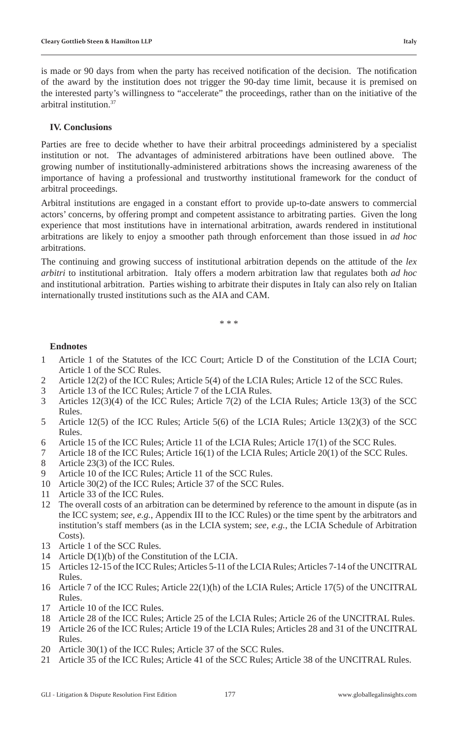is made or 90 days from when the party has received notification of the decision. The notification of the award by the institution does not trigger the 90-day time limit, because it is premised on the interested party's willingness to "accelerate" the proceedings, rather than on the initiative of the arbitral institution.37

# **IV. Conclusions**

Parties are free to decide whether to have their arbitral proceedings administered by a specialist institution or not. The advantages of administered arbitrations have been outlined above. The growing number of institutionally-administered arbitrations shows the increasing awareness of the importance of having a professional and trustworthy institutional framework for the conduct of arbitral proceedings.

Arbitral institutions are engaged in a constant effort to provide up-to-date answers to commercial actors' concerns, by offering prompt and competent assistance to arbitrating parties. Given the long experience that most institutions have in international arbitration, awards rendered in institutional arbitrations are likely to enjoy a smoother path through enforcement than those issued in *ad hoc* arbitrations.

The continuing and growing success of institutional arbitration depends on the attitude of the *lex arbitri* to institutional arbitration. Italy offers a modern arbitration law that regulates both *ad hoc*  and institutional arbitration. Parties wishing to arbitrate their disputes in Italy can also rely on Italian internationally trusted institutions such as the AIA and CAM.

\* \* \*

#### **Endnotes**

- 1 Article 1 of the Statutes of the ICC Court; Article D of the Constitution of the LCIA Court; Article 1 of the SCC Rules.
- 2 Article 12(2) of the ICC Rules; Article 5(4) of the LCIA Rules; Article 12 of the SCC Rules.
- 3 Article 13 of the ICC Rules; Article 7 of the LCIA Rules.
- 3 Articles 12(3)(4) of the ICC Rules; Article 7(2) of the LCIA Rules; Article 13(3) of the SCC Rules.
- 5 Article 12(5) of the ICC Rules; Article 5(6) of the LCIA Rules; Article 13(2)(3) of the SCC Rules.
- 6 Article 15 of the ICC Rules; Article 11 of the LCIA Rules; Article 17(1) of the SCC Rules.
- 7 Article 18 of the ICC Rules; Article 16(1) of the LCIA Rules; Article 20(1) of the SCC Rules.
- 8 Article 23(3) of the ICC Rules.<br>9 Article 10 of the ICC Rules: At
- Article 10 of the ICC Rules; Article 11 of the SCC Rules.
- 10 Article 30(2) of the ICC Rules; Article 37 of the SCC Rules.
- 11 Article 33 of the ICC Rules.
- 12 The overall costs of an arbitration can be determined by reference to the amount in dispute (as in the ICC system; *see*, *e.g.*, Appendix III to the ICC Rules) or the time spent by the arbitrators and institution's staff members (as in the LCIA system; *see*, *e.g.*, the LCIA Schedule of Arbitration Costs).
- 13 Article 1 of the SCC Rules.
- 14 Article D(1)(b) of the Constitution of the LCIA.
- 15 Articles 12-15 of the ICC Rules; Articles 5-11 of the LCIA Rules; Articles 7-14 of the UNCITRAL Rules.
- 16 Article 7 of the ICC Rules; Article 22(1)(h) of the LCIA Rules; Article 17(5) of the UNCITRAL Rules.
- 17 Article 10 of the ICC Rules.
- 18 Article 28 of the ICC Rules; Article 25 of the LCIA Rules; Article 26 of the UNCITRAL Rules.
- 19 Article 26 of the ICC Rules; Article 19 of the LCIA Rules; Articles 28 and 31 of the UNCITRAL Rules.
- 20 Article 30(1) of the ICC Rules; Article 37 of the SCC Rules.
- 21 Article 35 of the ICC Rules; Article 41 of the SCC Rules; Article 38 of the UNCITRAL Rules.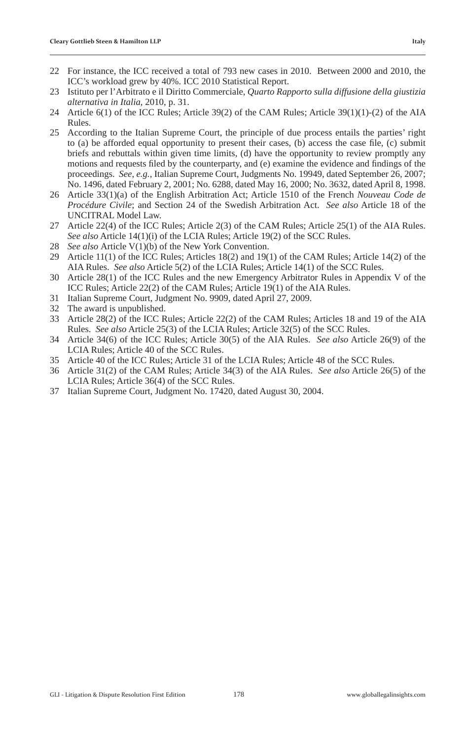- 22 For instance, the ICC received a total of 793 new cases in 2010. Between 2000 and 2010, the ICC's workload grew by 40%. ICC 2010 Statistical Report.
- 23 Istituto per l'Arbitrato e il Diritto Commerciale, *Quarto Rapporto sulla diffusione della giustizia alternativa in Italia*, 2010, p. 31.
- 24 Article 6(1) of the ICC Rules; Article 39(2) of the CAM Rules; Article 39(1)(1)-(2) of the AIA Rules.
- 25 According to the Italian Supreme Court, the principle of due process entails the parties' right to (a) be afforded equal opportunity to present their cases, (b) access the case file,  $(c)$  submit briefs and rebuttals within given time limits, (d) have the opportunity to review promptly any motions and requests filed by the counterparty, and (e) examine the evidence and findings of the proceedings. *See*, *e.g.*, Italian Supreme Court, Judgments No. 19949, dated September 26, 2007; No. 1496, dated February 2, 2001; No. 6288, dated May 16, 2000; No. 3632, dated April 8, 1998.
- 26 Article 33(1)(a) of the English Arbitration Act; Article 1510 of the French *Nouveau Code de Procédure Civile*; and Section 24 of the Swedish Arbitration Act. *See also* Article 18 of the UNCITRAL Model Law.
- 27 Article 22(4) of the ICC Rules; Article 2(3) of the CAM Rules; Article 25(1) of the AIA Rules. *See also* Article 14(1)(i) of the LCIA Rules; Article 19(2) of the SCC Rules.
- 28 *See also* Article V(1)(b) of the New York Convention.
- 29 Article 11(1) of the ICC Rules; Articles 18(2) and 19(1) of the CAM Rules; Article 14(2) of the AIA Rules. *See also* Article 5(2) of the LCIA Rules; Article 14(1) of the SCC Rules.
- 30 Article 28(1) of the ICC Rules and the new Emergency Arbitrator Rules in Appendix V of the ICC Rules; Article 22(2) of the CAM Rules; Article 19(1) of the AIA Rules.
- 31 Italian Supreme Court, Judgment No. 9909, dated April 27, 2009.
- 32 The award is unpublished.
- 33 Article 28(2) of the ICC Rules; Article 22(2) of the CAM Rules; Articles 18 and 19 of the AIA Rules. *See also* Article 25(3) of the LCIA Rules; Article 32(5) of the SCC Rules.
- 34 Article 34(6) of the ICC Rules; Article 30(5) of the AIA Rules. *See also* Article 26(9) of the LCIA Rules; Article 40 of the SCC Rules.
- 35 Article 40 of the ICC Rules; Article 31 of the LCIA Rules; Article 48 of the SCC Rules.
- 36 Article 31(2) of the CAM Rules; Article 34(3) of the AIA Rules. *See also* Article 26(5) of the LCIA Rules; Article 36(4) of the SCC Rules.
- 37 Italian Supreme Court, Judgment No. 17420, dated August 30, 2004.